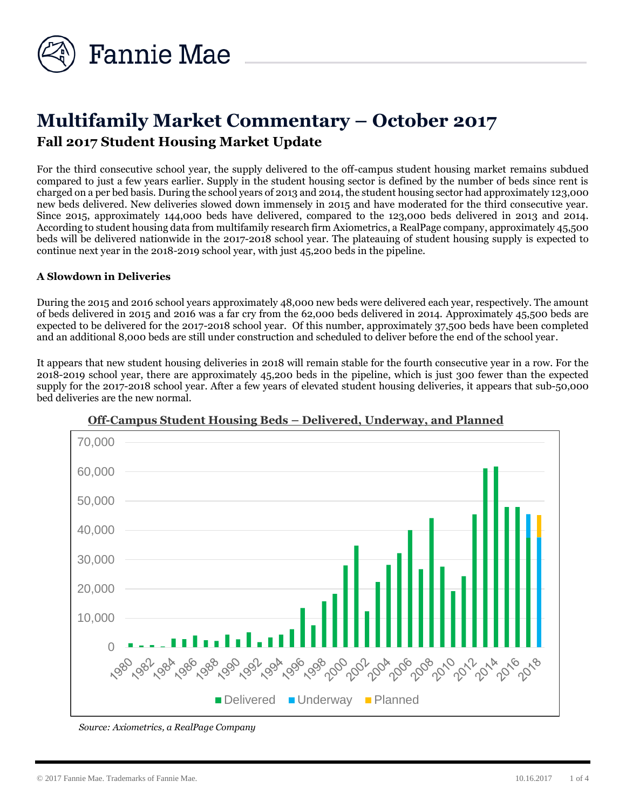

# **Multifamily Market Commentary – October 2017 Fall 2017 Student Housing Market Update**

For the third consecutive school year, the supply delivered to the off-campus student housing market remains subdued compared to just a few years earlier. Supply in the student housing sector is defined by the number of beds since rent is charged on a per bed basis. During the school years of 2013 and 2014, the student housing sector had approximately 123,000 new beds delivered. New deliveries slowed down immensely in 2015 and have moderated for the third consecutive year. Since 2015, approximately 144,000 beds have delivered, compared to the 123,000 beds delivered in 2013 and 2014. According to student housing data from multifamily research firm Axiometrics, a RealPage company, approximately 45,500 beds will be delivered nationwide in the 2017-2018 school year. The plateauing of student housing supply is expected to continue next year in the 2018-2019 school year, with just 45,200 beds in the pipeline.

## **A Slowdown in Deliveries**

During the 2015 and 2016 school years approximately 48,000 new beds were delivered each year, respectively. The amount of beds delivered in 2015 and 2016 was a far cry from the 62,000 beds delivered in 2014. Approximately 45,500 beds are expected to be delivered for the 2017-2018 school year. Of this number, approximately 37,500 beds have been completed and an additional 8,000 beds are still under construction and scheduled to deliver before the end of the school year.

It appears that new student housing deliveries in 2018 will remain stable for the fourth consecutive year in a row. For the 2018-2019 school year, there are approximately 45,200 beds in the pipeline, which is just 300 fewer than the expected supply for the 2017-2018 school year. After a few years of elevated student housing deliveries, it appears that sub-50,000 bed deliveries are the new normal.



## **Off-Campus Student Housing Beds – Delivered, Underway, and Planned**

*Source: Axiometrics, a RealPage Company*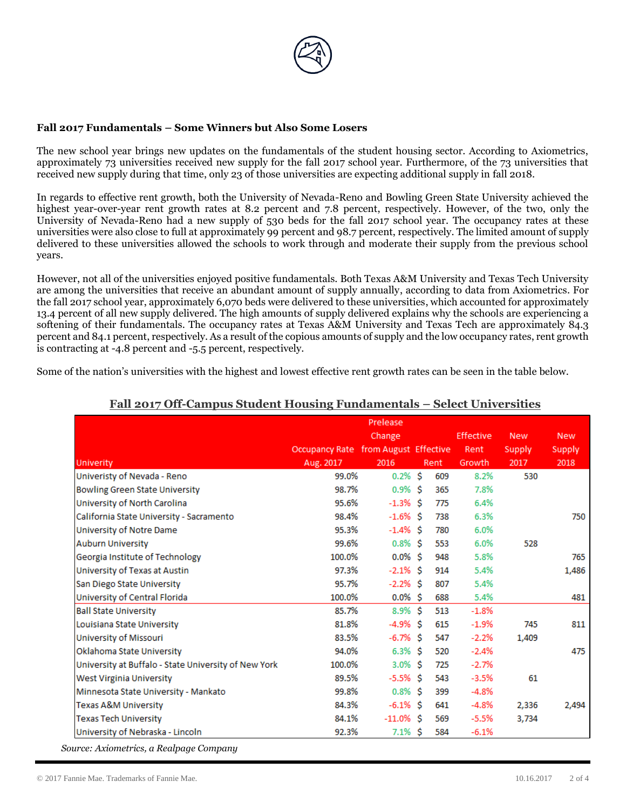

#### **Fall 2017 Fundamentals – Some Winners but Also Some Losers**

The new school year brings new updates on the fundamentals of the student housing sector. According to Axiometrics, approximately 73 universities received new supply for the fall 2017 school year. Furthermore, of the 73 universities that received new supply during that time, only 23 of those universities are expecting additional supply in fall 2018.

In regards to effective rent growth, both the University of Nevada-Reno and Bowling Green State University achieved the highest year-over-year rent growth rates at 8.2 percent and 7.8 percent, respectively. However, of the two, only the University of Nevada-Reno had a new supply of 530 beds for the fall 2017 school year. The occupancy rates at these universities were also close to full at approximately 99 percent and 98.7 percent, respectively. The limited amount of supply delivered to these universities allowed the schools to work through and moderate their supply from the previous school years.

However, not all of the universities enjoyed positive fundamentals. Both Texas A&M University and Texas Tech University are among the universities that receive an abundant amount of supply annually, according to data from Axiometrics. For the fall 2017 school year, approximately 6,070 beds were delivered to these universities, which accounted for approximately 13.4 percent of all new supply delivered. The high amounts of supply delivered explains why the schools are experiencing a softening of their fundamentals. The occupancy rates at Texas A&M University and Texas Tech are approximately 84.3 percent and 84.1 percent, respectively. As a result of the copious amounts of supply and the low occupancy rates, rent growth is contracting at -4.8 percent and -5.5 percent, respectively.

Some of the nation's universities with the highest and lowest effective rent growth rates can be seen in the table below.

|                                                      | Occupancy Rate from August Effective | Prelease<br>Change |      | <b>Effective</b><br>Rent | <b>New</b><br>Supply | <b>New</b><br>Supply |
|------------------------------------------------------|--------------------------------------|--------------------|------|--------------------------|----------------------|----------------------|
| <b>Univerity</b>                                     | Aug. 2017<br>99.0%                   | 2016<br>$0.2%$ \$  | Rent | Growth<br>8.2%           | 2017                 | 2018                 |
| Univeristy of Nevada - Reno                          |                                      |                    | 609  |                          | 530                  |                      |
| <b>Bowling Green State University</b>                | 98.7%                                | $0.9\%$ \$         | 365  | 7.8%                     |                      |                      |
| University of North Carolina                         | 95.6%                                | $-1.3\%$ \$        | 775  | 6.4%                     |                      |                      |
| California State University - Sacramento             | 98.4%                                | $-1.6\%$ \$        | 738  | 6.3%                     |                      | 750                  |
| University of Notre Dame                             | 95.3%                                | $-1.4\%$ \$        | 780  | 6.0%                     |                      |                      |
| <b>Auburn University</b>                             | 99.6%                                | $0.8\%$ \$         | 553  | 6.0%                     | 528                  |                      |
| Georgia Institute of Technology                      | 100.0%                               | $0.0\%$ \$         | 948  | 5.8%                     |                      | 765                  |
| University of Texas at Austin                        | 97.3%                                | $-2.1\%$ \$        | 914  | 5.4%                     |                      | 1,486                |
| San Diego State University                           | 95.7%                                | $-2.2%$ \$         | 807  | 5.4%                     |                      |                      |
| University of Central Florida                        | 100.0%                               | $0.0\%$ \$         | 688  | 5.4%                     |                      | 481                  |
| <b>Ball State University</b>                         | 85.7%                                | $8.9\%$ \$         | 513  | $-1.8%$                  |                      |                      |
| Louisiana State University                           | 81.8%                                | $-4.9\%$ \$        | 615  | $-1.9%$                  | 745                  | 811                  |
| University of Missouri                               | 83.5%                                | -6.7% \$           | 547  | $-2.2%$                  | 1,409                |                      |
| Oklahoma State University                            | 94.0%                                | $6.3\%$ \$         | 520  | $-2.4%$                  |                      | 475                  |
| University at Buffalo - State University of New York | 100.0%                               | $3.0\%$ \$         | 725  | $-2.7%$                  |                      |                      |
| <b>West Virginia University</b>                      | 89.5%                                | $-5.5\%$ \$        | 543  | $-3.5%$                  | 61                   |                      |
| Minnesota State University - Mankato                 | 99.8%                                | $0.8\%$ \$         | 399  | $-4.8%$                  |                      |                      |
| <b>Texas A&amp;M University</b>                      | 84.3%                                | $-6.1\%$ \$        | 641  | $-4.8%$                  | 2,336                | 2,494                |
| <b>Texas Tech University</b>                         | 84.1%                                | $-11.0\%$ \$       | 569  | $-5.5%$                  | 3,734                |                      |
| University of Nebraska - Lincoln                     | 92.3%                                | $7.1\%$ \$         | 584  | $-6.1%$                  |                      |                      |

## **Fall 2017 Off-Campus Student Housing Fundamentals – Select Universities**

*Source: Axiometrics, a Realpage Company*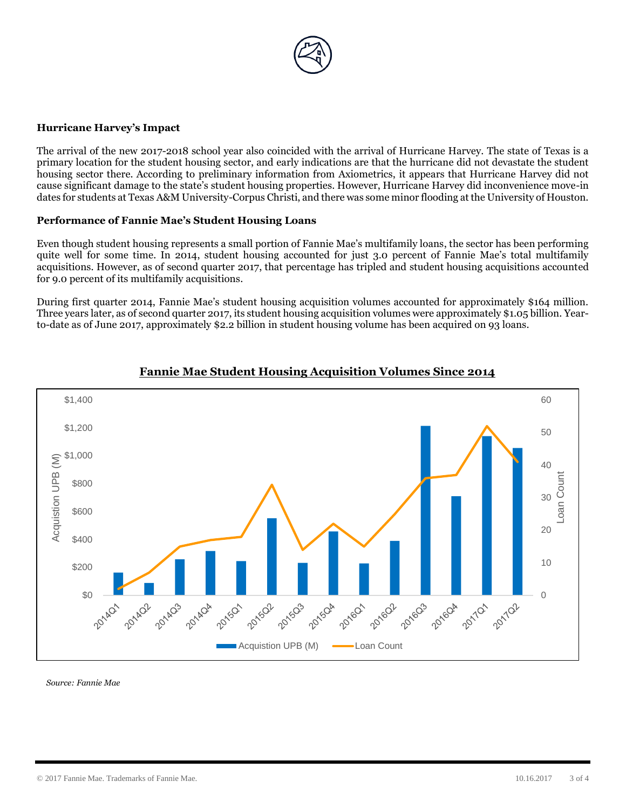

#### **Hurricane Harvey's Impact**

The arrival of the new 2017-2018 school year also coincided with the arrival of Hurricane Harvey. The state of Texas is a primary location for the student housing sector, and early indications are that the hurricane did not devastate the student housing sector there. According to preliminary information from Axiometrics, it appears that Hurricane Harvey did not cause significant damage to the state's student housing properties. However, Hurricane Harvey did inconvenience move-in dates for students at Texas A&M University-Corpus Christi, and there was some minor flooding at the University of Houston.

### **Performance of Fannie Mae's Student Housing Loans**

Even though student housing represents a small portion of Fannie Mae's multifamily loans, the sector has been performing quite well for some time. In 2014, student housing accounted for just 3.0 percent of Fannie Mae's total multifamily acquisitions. However, as of second quarter 2017, that percentage has tripled and student housing acquisitions accounted for 9.0 percent of its multifamily acquisitions.

During first quarter 2014, Fannie Mae's student housing acquisition volumes accounted for approximately \$164 million. Three years later, as of second quarter 2017, its student housing acquisition volumes were approximately \$1.05 billion. Yearto-date as of June 2017, approximately \$2.2 billion in student housing volume has been acquired on 93 loans.



## **Fannie Mae Student Housing Acquisition Volumes Since 2014**

*Source: Fannie Mae*